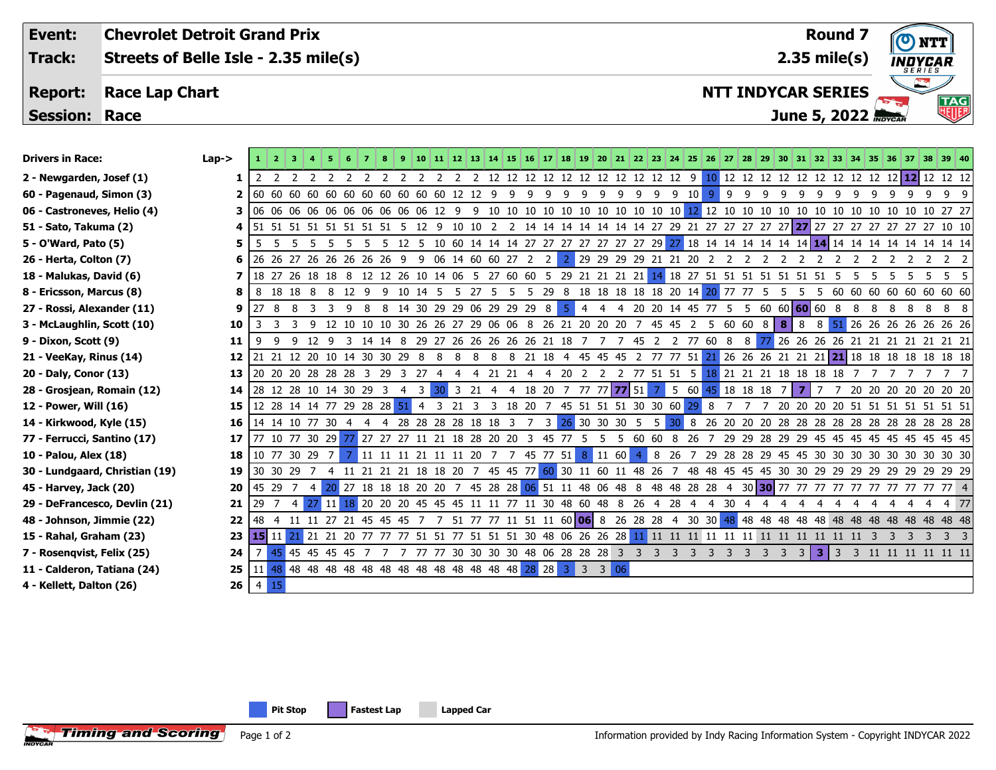| Event:                      | <b>Chevrolet Detroit Grand Prix</b>  |           |        |  |                |      |     |     |     |            |  |  |  |  |    |    |    |    |     |             |    |          |                           |                               |       |      |           |                |            |       |                 | <b>Round 7</b>             |          | INDYCAR |    |     |                         |  |
|-----------------------------|--------------------------------------|-----------|--------|--|----------------|------|-----|-----|-----|------------|--|--|--|--|----|----|----|----|-----|-------------|----|----------|---------------------------|-------------------------------|-------|------|-----------|----------------|------------|-------|-----------------|----------------------------|----------|---------|----|-----|-------------------------|--|
| Track:                      | Streets of Belle Isle - 2.35 mile(s) |           |        |  |                |      |     |     |     |            |  |  |  |  |    |    |    |    |     |             |    |          |                           |                               |       |      |           |                |            |       |                 | $2.35$ mile(s)             |          |         |    |     |                         |  |
| <b>Report:</b>              | <b>Race Lap Chart</b>                |           |        |  |                |      |     |     |     |            |  |  |  |  |    |    |    |    |     |             |    |          | <b>NTT INDYCAR SERIES</b> | $\mathbb{Z}$<br>$\frac{1}{2}$ |       |      |           |                |            |       |                 |                            |          |         |    |     |                         |  |
| <b>Session: Race</b>        |                                      |           |        |  |                |      |     |     |     |            |  |  |  |  |    |    |    |    |     |             |    |          |                           |                               |       |      |           |                |            |       |                 | June 5, 2022 <b>MoycAR</b> |          |         |    |     | TAG<br>地 <mark>脚</mark> |  |
|                             |                                      |           |        |  |                |      |     |     |     |            |  |  |  |  |    |    |    |    |     |             |    |          |                           |                               |       |      |           |                |            |       |                 |                            |          |         |    |     |                         |  |
| <b>Drivers in Race:</b>     |                                      | $Lap - >$ |        |  |                |      |     |     |     |            |  |  |  |  |    |    |    |    | 19. | 20<br>21    | 22 |          | 23 24 25                  |                               | 26 27 |      | <b>DR</b> | -29            |            | 31.   |                 |                            |          |         |    | 38. | 39 40                   |  |
| 2 - Newgarden, Josef (1)    |                                      |           |        |  |                |      |     |     |     |            |  |  |  |  |    |    |    |    |     |             |    |          | 12                        | q                             |       | 12.  |           |                |            |       |                 |                            |          |         |    |     | 12 12 12 12 12          |  |
| 60 - Pagenaud, Simon (3)    |                                      |           | l 60   |  | 6060           | -60  | -60 | -60 | 60  | -60<br>60  |  |  |  |  |    |    |    |    |     |             |    |          |                           | 10                            |       |      |           |                |            |       |                 |                            |          |         |    |     |                         |  |
| 06 - Castroneves, Helio (4) |                                      |           | 3   06 |  | 06 06 06 06 06 |      |     |     | -06 | -06<br>06. |  |  |  |  |    |    |    | 10 |     | 10<br>10    |    | 10 10 10 |                           |                               | 12    | - 10 |           |                |            |       |                 | 10                         |          |         | 10 | 10  | 27 27                   |  |
| 51 - Sato, Takuma (2)       |                                      |           |        |  |                |      | 51  |     |     |            |  |  |  |  |    |    |    |    |     |             |    |          |                           |                               |       |      | 27 27     |                | $\cdot$ 27 | 27 27 | 27              | 27                         |          |         |    |     | 10 10                   |  |
| 5 - O'Ward, Pato (5)        |                                      |           |        |  |                |      |     |     |     |            |  |  |  |  |    |    | 27 | 27 | -27 | 27 27 27 29 |    |          |                           | $27$ 18 14                    |       | 14   |           | 14    14    14 |            |       | 14 <b>14</b> 14 |                            | 14 14 14 |         |    |     | 14 14 14 14             |  |
| 26 - Herta, Colton (7)      |                                      |           |        |  | 26.27          | - 26 | -26 | -26 | -26 | -26        |  |  |  |  | 60 | 27 |    |    |     | 29 29 29    | 29 |          |                           |                               |       |      |           |                |            |       |                 |                            |          |         |    |     |                         |  |

- **8 Ericsson, Marcus (8)**
- **27 Rossi, Alexander (11)**
- **3 McLaughlin, Scott (10)**
- **9 Dixon, Scott (9)**
- **21 VeeKay, Rinus (14)**
- **20 Daly, Conor (13)**
- **28 Grosjean, Romain (12) 14** 28 12 28 10 14 30 29 3 4 3 30 3 21 4 4 18 20 7 77 77 **77** 51 7 5 60 45 18 18 18 7 **7** 7 7 20 20 20 20 20 20 20
- **12 Power, Will (16)**
- **14 Kirkwood, Kyle (15)**
- **77 Ferrucci, Santino (17)**
- **10 Palou, Alex (18)**
- **30 Lundgaard, Christian (19)**
- **45 Harvey, Jack (20) 20** 45 29 7 4 20 27 18 18 18 20 20 7 45 28 28 06 51 11 48 06 48 8 48 48 28 28 4 30 **30** 77 77 77 77 77 77 77 77 77 77 4
- **29 DeFrancesco, Devlin (21)**
- **48 Johnson, Jimmie (22) 22** 48 4 11 11 27 21 45 45 45 7 7 51 77 77 11 51 11 60 **06** 8 26 28 28 4 30 30 48 48 48 48 48 48 48 48 48 48 48 48 48 48
- **15 Rahal, Graham (23)**
- **7 Rosenqvist, Felix (25)**
- **11 Calderon, Tatiana (24)**

**Timing and Scoring** 

**4 - Kellett, Dalton (26) 26**  $\boxed{4\ 15}$ 

| 18 - Malukas, David (6)        |                 |            |         |          | 7   18 27 26 18 18 8 |    |                                                     |          | 12 12 26 10 14 06 5 |                |                |          |       | - 27     | 6060 |       | 5        | -29                           | 21    |          |     | 21 21 21 14 18 27 51 51 |               |               |       |       |      |                                         |      |                |                   |       |      |             |  |                                                       | 5 5  |
|--------------------------------|-----------------|------------|---------|----------|----------------------|----|-----------------------------------------------------|----------|---------------------|----------------|----------------|----------|-------|----------|------|-------|----------|-------------------------------|-------|----------|-----|-------------------------|---------------|---------------|-------|-------|------|-----------------------------------------|------|----------------|-------------------|-------|------|-------------|--|-------------------------------------------------------|------|
| 8 - Ericsson, Marcus (8)       | 8               | 8          | - 18    | 18       |                      |    |                                                     |          |                     | -14            |                |          |       |          |      |       | 29       |                               |       | 18       | -18 | 18 18 20 14 20 77       |               |               |       |       | 77 5 |                                         |      |                |                   |       | -60  | 60 60 60    |  | 60 60 60                                              |      |
| 27 - Rossi, Alexander (11)     |                 | 9127       |         |          |                      |    |                                                     |          | 14                  | 30             | 29             | 29 06 29 |       |          | -29  | -29   | 8        | -5.                           |       |          |     | -20<br>20               | 14            | -45           |       |       |      |                                         |      |                | 60 60 60 60 8     |       |      |             |  |                                                       | 8 8  |
| 3 - McLaughlin, Scott (10)     | 10              |            |         |          |                      |    |                                                     | 10<br>10 | -30                 | 26.            | - 26           | - 27     |       | 29 06 06 |      |       | 26 21    |                               | 2020  |          | -20 | -45                     | -45           |               |       | 60 60 |      | 8 8 8                                   |      |                |                   |       |      |             |  | 8 51 26 26 26 26 26 26 26                             |      |
| 9 - Dixon, Scott (9)           | 11              |            |         |          |                      |    |                                                     |          |                     | 29             |                | -26.     | - 26  | -26.     | -26. | -26   | -21      | -18                           |       |          |     | 45.                     |               |               | -60   | -8    | -8   |                                         |      |                | 26 26 26 26       |       | - 21 | -21         |  | 21 21                                                 |      |
| 21 - VeeKay, Rinus (14)        | 12              |            |         |          | 21 12 20 10 14       |    |                                                     | 30 30    | - 29                |                |                |          |       |          |      | - 21  | 18       | -4                            |       | 45 45 45 |     | $\overline{z}$          |               |               |       |       |      |                                         |      |                |                   |       |      |             |  | 77 77 51 21 26 26 26 21 21 21 21 18 18 18 18 18 18 18 |      |
| 20 - Daly, Conor (13)          | 13              | 20         |         |          | 20 20 28 28          |    | - 28                                                | - 29     |                     |                |                |          |       |          |      |       |          |                               |       |          |     | -51                     |               | 51 5          |       |       |      | 18 21 21 21 18                          |      | -18            |                   |       |      |             |  |                                                       |      |
| 28 - Grosjean, Romain (12)     | 14              |            |         |          | 28 12 28 10 14 30    |    |                                                     | 29 3     |                     |                |                | 3        | 21    |          |      | 18    | 20       |                               |       |          |     |                         |               |               |       |       |      | 77 77 <b>77 51 7 5 60 45 18 18 18 7</b> |      |                |                   |       |      |             |  | 20 20 20 20 20 20 20                                  |      |
| 12 - Power, Will (16)          | 15              |            |         |          |                      |    | 12 28 14 14 77 29 28 28 51                          |          |                     | $\overline{4}$ |                | 21 3     |       |          | 18   | -20   |          | 45 51 51 51                   |       |          |     | 30 30 60 29             |               |               | 8     |       |      |                                         | 20.  | - 20           | 20                | -20   |      | 51 51 51 51 |  | 51 51 51                                              |      |
| 14 - Kirkwood, Kyle (15)       | 16 <sup>1</sup> |            |         |          | 14 14 10 77 30 4     |    |                                                     |          | -28                 |                | 28 28 28 18 18 |          |       |          |      |       |          | $26$ 30 30 30                 |       |          |     | -5.                     | .5.           |               |       |       |      |                                         |      |                |                   |       |      |             |  | 8 26 20 20 20 28 28 28 28 28 28 28 28 28 28 28        |      |
| 77 - Ferrucci, Santino (17)    | 17              |            |         |          | 77 10 77 30 29       |    |                                                     | 27 27    | - 27                |                | - 21           | -18      | 28 20 |          | -20  |       | 45       | -77                           |       |          | -60 | -60                     |               |               |       | 29.   | - 29 | 28                                      | - 29 | -29 45         |                   | -45   |      |             |  | 45 45 45 45 45 45 45                                  |      |
| 10 - Palou, Alex (18)          | 18 <sup>1</sup> |            |         |          | 10 77 30 29 7        |    |                                                     |          | 11 11 11 21 11 11   |                |                |          | -20   |          |      |       | 45 77 51 |                               |       | 8 11 60  |     | -4                      | 8 26          |               |       | 29 28 | -28  |                                         |      |                | 29 45 45 30 30    |       | -30  |             |  | 30 30 30 30 30 30                                     |      |
| 30 - Lundgaard, Christian (19) | 19              |            |         | 30 30 29 |                      |    |                                                     |          |                     | 21 18 18 20    |                |          |       |          |      |       |          | 45 45 77 60 30 11 60 11       |       |          |     | -48<br>-26              |               | 48            | 48    | -45   | -45  | 45 30 30                                |      |                | 29 29             |       |      |             |  | 29 29 29 29 29 29 29                                  |      |
| 45 - Harvey, Jack (20)         | 20              |            | 45 29 7 |          | $\overline{4}$       |    | 20 27 18 18 18 20 20 7 45 28 28 06 51 11 48 06 48 8 |          |                     |                |                |          |       |          |      |       |          |                               |       |          |     |                         |               | 48 48 28 28 4 |       |       |      |                                         |      |                |                   |       |      |             |  | 30 30 77 77 77 77 77 77 77 77 77 77 4                 |      |
| 29 - DeFrancesco, Devlin (21)  | 21              | 29         |         | $-4$     |                      |    |                                                     |          | 20 20 20 45 45      |                |                | -45      |       |          | 77   |       |          | 30 48 60 48                   |       |          |     |                         | 28            |               |       |       |      |                                         |      |                |                   |       |      |             |  |                                                       | 4 77 |
| 48 - Johnson, Jimmie (22)      | 22              | 48         |         | 11 11    |                      |    |                                                     |          |                     |                |                |          |       |          |      |       |          | 11 51 11 60 <b>06</b> 8 26 28 |       |          |     | 28                      |               |               | 30 30 |       |      | 48 48 48 48 48 48                       |      |                |                   | 48 48 |      |             |  | 48 48 48 48 48 48                                     |      |
| 15 - Rahal, Graham (23)        |                 | $23$ 15 11 |         |          | 21                   |    |                                                     |          |                     |                |                |          |       |          |      | 30    |          | 48 06 26 26 28                |       |          |     |                         | $11 \quad 11$ |               |       |       |      |                                         |      |                |                   |       |      |             |  |                                                       |      |
| 7 - Rosenqvist, Felix (25)     | 24              |            |         | 45 45 45 |                      | 45 | 45                                                  |          |                     |                |                |          |       | 30.      |      | 48 06 |          | - 28                          | 28 28 |          |     |                         |               |               |       |       |      |                                         |      | $\overline{3}$ | $3 \mid 3 \mid 3$ |       |      | 11 11 11    |  | 11 11 11                                              |      |
| 11 - Calderon, Tatiana (24)    |                 |            |         |          |                      |    |                                                     |          |                     |                |                |          |       |          |      |       |          |                               |       |          |     |                         |               |               |       |       |      |                                         |      |                |                   |       |      |             |  |                                                       |      |

Page 1 of 2